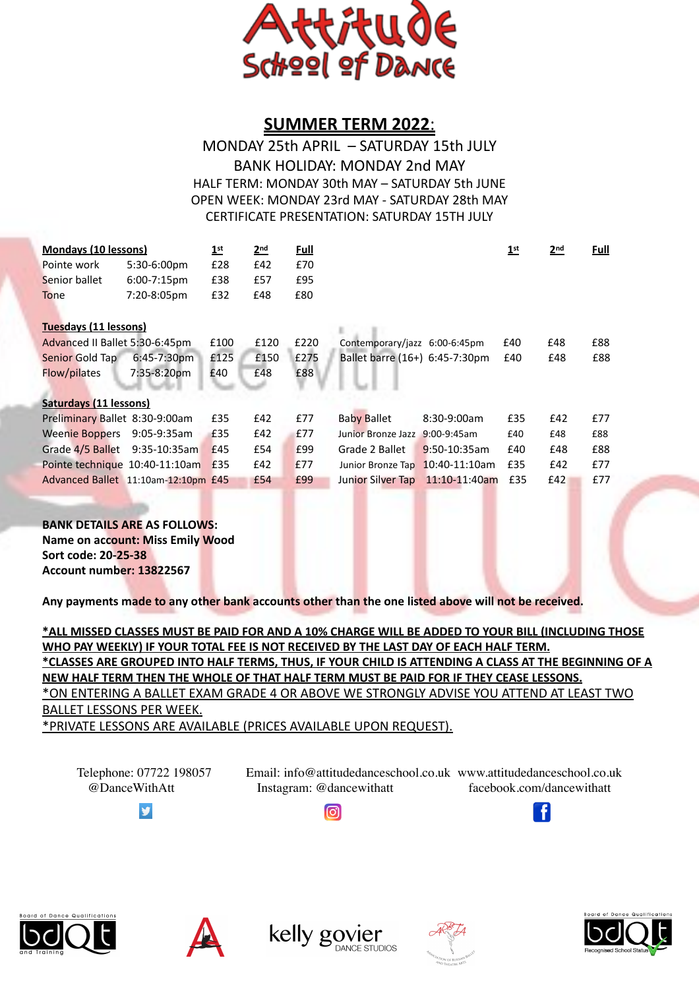

## **SUMMER TERM 2022**:

## MONDAY 25th APRIL - SATURDAY 15th JULY BANK HOLIDAY: MONDAY 2nd MAY HALF TERM: MONDAY 30th MAY - SATURDAY 5th JUNE OPEN WEEK: MONDAY 23rd MAY - SATURDAY 28th MAY CERTIFICATE PRESENTATION: SATURDAY 15TH JULY

| <b>Mondays (10 lessons)</b>         |                  | 1 <sup>st</sup> | 2 <sub>nd</sub> | <b>Full</b> |                                |                 | 1 <sup>st</sup> | 2 <sub>nd</sub> | <b>Full</b> |
|-------------------------------------|------------------|-----------------|-----------------|-------------|--------------------------------|-----------------|-----------------|-----------------|-------------|
| Pointe work                         | 5:30-6:00pm      | £28             | E42             | £70         |                                |                 |                 |                 |             |
| Senior ballet                       | $6:00 - 7:15$ pm | £38             | £57             | £95         |                                |                 |                 |                 |             |
| <b>Tone</b>                         | 7:20-8:05pm      | £32             | £48             | £80         |                                |                 |                 |                 |             |
| Tuesdays (11 lessons)               |                  |                 |                 |             |                                |                 |                 |                 |             |
| Advanced II Ballet 5:30-6:45pm      |                  | £100            | £120            | £220        | Contemporary/jazz 6:00-6:45pm  |                 | £40             | £48             | £88         |
| Senior Gold Tap                     | $6:45 - 7:30$ pm | £125            | £150            | £275        | Ballet barre (16+) 6:45-7:30pm |                 | £40             | £48             | £88         |
| Flow/pilates                        | 7:35-8:20pm      | £40             | £48             | £88         |                                |                 |                 |                 |             |
|                                     |                  |                 |                 |             |                                |                 |                 |                 |             |
| Saturdays (11 lessons)              |                  |                 |                 |             |                                |                 |                 |                 |             |
| Preliminary Ballet 8:30-9:00am      |                  | £35             | E42             | £77         | <b>Baby Ballet</b>             | 8:30-9:00am     | £35             | £42             | £77         |
| <b>Weenie Boppers</b>               | 9:05-9:35am      | £35             | £42             | £77         | Junior Bronze Jazz 9:00-9:45am |                 | £40             | £48             | £88         |
| Grade 4/5 Ballet                    | $9:35-10:35am$   | £45             | £54             | £99         | Grade 2 Ballet                 | 9:50-10:35am    | £40             | £48             | £88         |
| Pointe technique 10:40-11:10am      |                  | £35             | £42             | £77         | Junior Bronze Tap              | $10:40-11:10am$ | £35             | £42             | £77         |
| Advanced Ballet 11:10am-12:10pm £45 |                  |                 | £54             | £99         | Junior Silver Tap              | 11:10-11:40am   | £35             | f42             | £77         |
|                                     |                  |                 |                 |             |                                |                 |                 |                 |             |

## **BANK DETAILS ARE AS FOLLOWS:**

**Name on account: Miss Emily Wood Sort code: 20-25-38 Account number: 13822567**

**Committee of the Committee of the Committee of the Committee of the Committee of the Committee of the Committee** 

Any payments made to any other bank accounts other than the one listed above will not be received.

**\*ALL MISSED CLASSES MUST BE PAID FOR AND A 10% CHARGE WILL BE ADDED TO YOUR BILL (INCLUDING THOSE**  WHO PAY WEEKLY) IF YOUR TOTAL FEE IS NOT RECEIVED BY THE LAST DAY OF EACH HALF TERM. **\*CLASSES ARE GROUPED INTO HALF TERMS, THUS, IF YOUR CHILD IS ATTENDING A CLASS AT THE BEGINNING OF A NEW HALF TERM THEN THE WHOLE OF THAT HALF TERM MUST BE PAID FOR IF THEY CEASE LESSONS.** \*ON ENTERING A BALLET EXAM GRADE 4 OR ABOVE WE STRONGLY ADVISE YOU ATTEND AT LEAST TWO **BALLET LESSONS PER WEEK.** \*PRIVATE LESSONS ARE AVAILABLE (PRICES AVAILABLE UPON REQUEST).

Telephone: 07722 198057 Email: info@attitudedanceschool.co.uk www.attitudedanceschool.co.uk @DanceWithAtt Instagram: @dancewithatt facebook.com/dancewithatt



ெ [T](https://stackoverflow.com/questions/19657185/get-other-application-icon-image-in-my-application) [T](https://en.wikipedia.org/wiki/File:Instagram_logo_2016.svg) [T](https://en.wikipedia.org/wiki/File:Facebook_icon.svg)